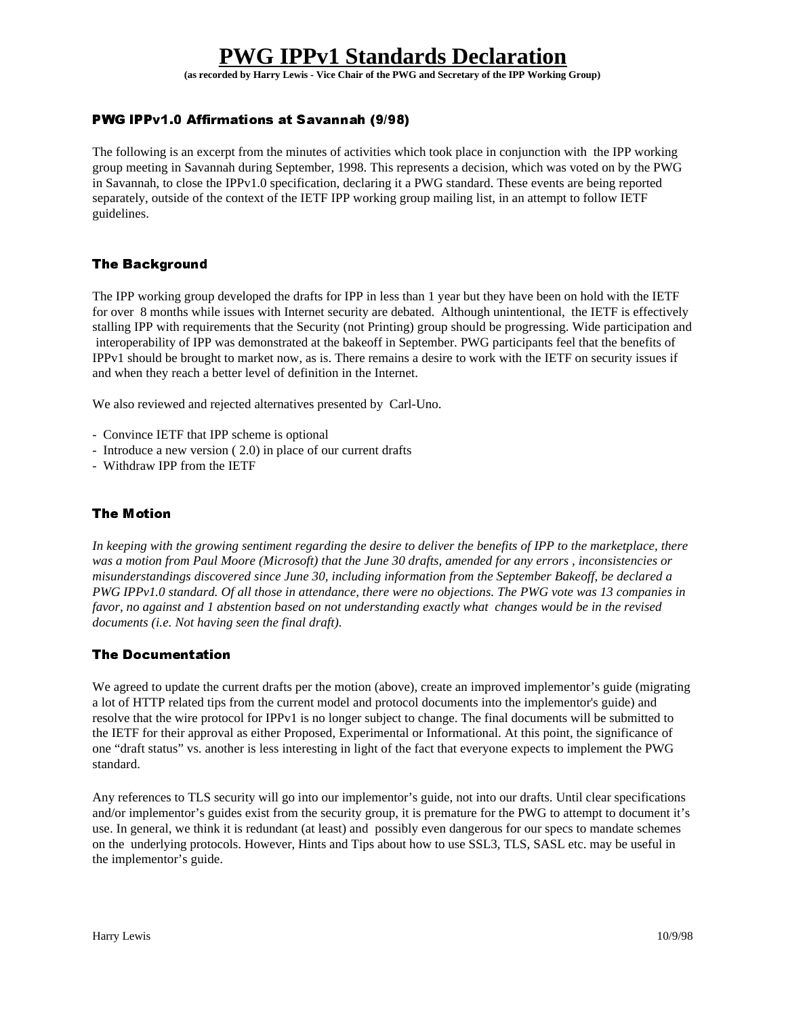# **PWG IPPv1 Standards Declaration**

**(as recorded by Harry Lewis - Vice Chair of the PWG and Secretary of the IPP Working Group)**

## PWG IPPv1.0 Affirmations at Savannah (9/98)

The following is an excerpt from the minutes of activities which took place in conjunction with the IPP working group meeting in Savannah during September, 1998. This represents a decision, which was voted on by the PWG in Savannah, to close the IPPv1.0 specification, declaring it a PWG standard. These events are being reported separately, outside of the context of the IETF IPP working group mailing list, in an attempt to follow IETF guidelines.

## The Background

The IPP working group developed the drafts for IPP in less than 1 year but they have been on hold with the IETF for over 8 months while issues with Internet security are debated. Although unintentional, the IETF is effectively stalling IPP with requirements that the Security (not Printing) group should be progressing. Wide participation and interoperability of IPP was demonstrated at the bakeoff in September. PWG participants feel that the benefits of IPPv1 should be brought to market now, as is. There remains a desire to work with the IETF on security issues if and when they reach a better level of definition in the Internet.

We also reviewed and rejected alternatives presented by Carl-Uno.

- Convince IETF that IPP scheme is optional
- Introduce a new version ( 2.0) in place of our current drafts
- Withdraw IPP from the IETF

## **The Motion**

*In keeping with the growing sentiment regarding the desire to deliver the benefits of IPP to the marketplace, there was a motion from Paul Moore (Microsoft) that the June 30 drafts, amended for any errors , inconsistencies or misunderstandings discovered since June 30, including information from the September Bakeoff, be declared a PWG IPPv1.0 standard. Of all those in attendance, there were no objections. The PWG vote was 13 companies in favor, no against and 1 abstention based on not understanding exactly what changes would be in the revised documents (i.e. Not having seen the final draft).*

#### **The Documentation**

We agreed to update the current drafts per the motion (above), create an improved implementor's guide (migrating a lot of HTTP related tips from the current model and protocol documents into the implementor's guide) and resolve that the wire protocol for IPPv1 is no longer subject to change. The final documents will be submitted to the IETF for their approval as either Proposed, Experimental or Informational. At this point, the significance of one "draft status" vs. another is less interesting in light of the fact that everyone expects to implement the PWG standard.

Any references to TLS security will go into our implementor's guide, not into our drafts. Until clear specifications and/or implementor's guides exist from the security group, it is premature for the PWG to attempt to document it's use. In general, we think it is redundant (at least) and possibly even dangerous for our specs to mandate schemes on the underlying protocols. However, Hints and Tips about how to use SSL3, TLS, SASL etc. may be useful in the implementor's guide.